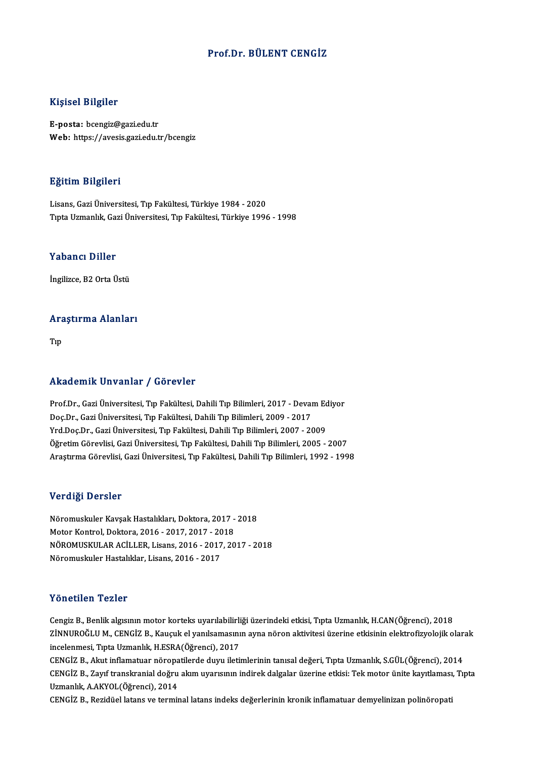#### Prof.Dr. BÜLENT CENGİZ

#### Kişisel Bilgiler

E-posta: bcengiz@gazi.edu.tr Web: https://avesis.gazi.edu.tr/bcengiz

#### Eğitim Bilgileri

Lisans,GaziÜniversitesi,Tıp Fakültesi,Türkiye 1984 -2020 TıptaUzmanlık,GaziÜniversitesi,Tıp Fakültesi,Türkiye 1996 -1998

#### Yabancı Diller

İngilizce, B2 Orta Üstü

### ingilizce, B2 orta ostu<br>Araştırma Alanları Ara<br><sub>Tıp</sub>

## Akademik Unvanlar / Görevler

Akademik Unvanlar / Görevler<br>Prof.Dr., Gazi Üniversitesi, Tıp Fakültesi, Dahili Tıp Bilimleri, 2017 - Devam Ediyor<br>Des.Dr., Gazi Üniversitesi, Tıp Fakültesi, Dahili Tıp Bilimleri, 2009, 2017 Doç.Dr.,GaziÜniversitesi,Tıp Fakültesi,DahiliTıpBilimleri,2009 -2017 Prof.Dr., Gazi Üniversitesi, Tıp Fakültesi, Dahili Tıp Bilimleri, 2017 - Devam Ec<br>Doç.Dr., Gazi Üniversitesi, Tıp Fakültesi, Dahili Tıp Bilimleri, 2009 - 2017<br>Yrd.Doç.Dr., Gazi Üniversitesi, Tıp Fakültesi, Dahili Tıp Bilim Doç.Dr., Gazi Üniversitesi, Tıp Fakültesi, Dahili Tıp Bilimleri, 2009 - 2017<br>Yrd.Doç.Dr., Gazi Üniversitesi, Tıp Fakültesi, Dahili Tıp Bilimleri, 2007 - 2009<br>Öğretim Görevlisi, Gazi Üniversitesi, Tıp Fakültesi, Dahili Tıp Öğretim Görevlisi, Gazi Üniversitesi, Tıp Fakültesi, Dahili Tıp Bilimleri, 2005 - 2007<br>Araştırma Görevlisi, Gazi Üniversitesi, Tıp Fakültesi, Dahili Tıp Bilimleri, 1992 - 1998

#### Verdiği Dersler

Verdiği Dersler<br>Nöromuskuler Kavşak Hastalıkları, Doktora, 2017 - 2018<br>Metar Kantrel, Doktora, 2016 - 2017, 2017, 2019 Verlangs Derbier<br>Nöromuskuler Kavşak Hastalıkları, Doktora, 2017 -<br>Motor Kontrol, Doktora, 2016 - 2017, 2017 - 2018<br>NÖROMUSKULAR AÇİLLER, Lisans, 2016 - 2017, 20 NÖROMUSKULAR ACİLLER, Lisans, 2016 - 2017, 2017 - 2018<br>Nöromuskuler Hastalıklar. Lisans. 2016 - 2017 Motor Kontrol, Doktora, 2016 - 2017, 2017 - 2018

#### Yönetilen Tezler

Cengiz B., Benlik algısının motor korteks uyarılabilirliği üzerindeki etkisi, Tıpta Uzmanlık, H.CAN(Öğrenci), 2018 YÖNÖLTIÖN. YÖNÖN<br>Cengiz B., Benlik algısının motor korteks uyarılabilirliği üzerindeki etkisi, Tıpta Uzmanlık, H.CAN(Öğrenci), 2018<br>ZİNNUROĞLU M., CENGİZ B., Kauçuk el yanılsamasının ayna nöron aktivitesi üzerine etkisinin Cengiz B., Benlik algısının motor korteks uyarılabilirli<br>ZİNNUROĞLU M., CENGİZ B., Kauçuk el yanılsamasını<br>incelenmesi, Tıpta Uzmanlık, H.ESRA(Öğrenci), 2017<br>CENGİZ B. Alay inflomatuar nörenatilerde duyu ileti ZİNNUROĞLU M., CENGİZ B., Kauçuk el yanılsamasının ayna nöron aktivitesi üzerine etkisinin elektrofizyolojik olar<br>incelenmesi, Tıpta Uzmanlık, H.ESRA(Öğrenci), 2017<br>CENGİZ B., Akut inflamatuar nöropatilerde duyu iletimleri

incelenmesi, Tıpta Uzmanlık, H.ESRA(Öğrenci), 2017<br>CENGİZ B., Akut inflamatuar nöropatilerde duyu iletimlerinin tanısal değeri, Tıpta Uzmanlık, S.GÜL(Öğrenci), 2014<br>CENGİZ B., Zayıf transkranial doğru akım uyarısının indir CENGİZ B., Akut inflamatuar nöropa<br>CENGİZ B., Zayıf transkranial doğru<br>Uzmanlık, A.AKYOL(Öğrenci), 2014<br>CENGİZ B., Beridüsl latans ve termi CENGİZ B., Zayıf transkranial doğru akım uyarısının indirek dalgalar üzerine etkisi: Tek motor ünite kayıtlaması<br>Uzmanlık, A.AKYOL(Öğrenci), 2014<br>CENGİZ B., Rezidüel latans ve terminal latans indeks değerlerinin kronik inf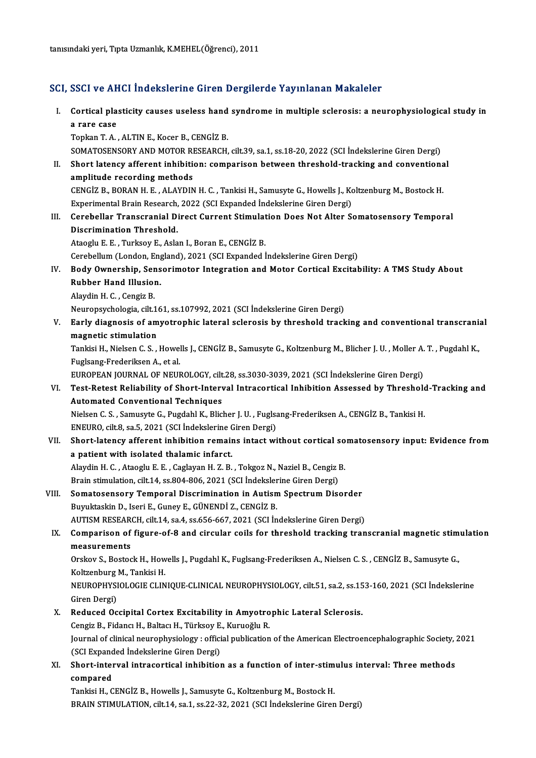tanısındaki yeri, Tıpta Uzmanlık, K.MEHEL(Öğrenci), 2011

#### SCI, SSCI ve AHCI İndekslerine Giren Dergilerde Yayınlanan Makaleler

I. SSCI ve AHCI Indekslerine Giren Dergilerde Yayınlanan Makaleler<br>I. Cortical plasticity causes useless hand syndrome in multiple sclerosis: a neurophysiological study in<br>- a rare case **Costa**<br>Cortical pla<br>a rare case<br>Tonkan T A Cortical plasticity causes useless hand<br>a rare case<br>Topkan T.A. , ALTIN E., Kocer B., CENGİZ B.<br>SOMATOSENSORY AND MOTOR RESEARCH a rare case<br>Topkan T. A. , ALTIN E., Kocer B., CENGİZ B.<br>SOMATOSENSORY AND MOTOR RESEARCH, cilt.39, sa.1, ss.18-20, 2022 (SCI İndekslerine Giren Dergi)<br>Shart latanay affarant inhibitian: camparisan batycan thresheld, trask Topkan T. A. , ALTIN E., Kocer B., CENGİZ B.<br>SOMATOSENSORY AND MOTOR RESEARCH, cilt.39, sa.1, ss.18-20, 2022 (SCI İndekslerine Giren Dergi)<br>II. Short latency afferent inhibition: comparison between threshold-tracking and c SOMATOSENSORY AND MOTOR RI<br>Short latency afferent inhibition<br>amplitude recording methods<br>CENC<sup>i7</sup> P. BORAN H. E. ALAYDIN Short latency afferent inhibition: comparison between threshold-tracking and conventions<br>amplitude recording methods<br>CENGİZ B., BORAN H. E. , ALAYDIN H. C. , Tankisi H., Samusyte G., Howells J., Koltzenburg M., Bostock H.<br> amplitude recording methods<br>CENGİZ B., BORAN H. E. , ALAYDIN H. C. , Tankisi H., Samusyte G., Howells J., Ko<br>Experimental Brain Research, 2022 (SCI Expanded İndekslerine Giren Dergi)<br>Caraballar Transaranial Direct Currant CENGİZ B., BORAN H. E. , ALAYDIN H. C. , Tankisi H., Samusyte G., Howells J., Koltzenburg M., Bostock H.<br>Experimental Brain Research, 2022 (SCI Expanded Indekslerine Giren Dergi)<br>III. Cerebellar Transcranial Direct Current Experimental Brain Research, 2022 (SCI Expanded Indekslerine Giren Dergi)<br>Cerebellar Transcranial Direct Current Stimulation Does Not Alter S<br>Discrimination Threshold.<br>Ataoglu E. E. , Turksoy E., Aslan I., Boran E., CENGIZ III. Cerebellar Transcranial Direct Current Stimulation Does Not Alter Somatosensory Temporal Cerebellum (London, England), 2021 (SCI Expanded İndekslerine Giren Dergi) Ataoglu E. E. , Turksoy E., Aslan I., Boran E., CENGİZ B.<br>Cerebellum (London, England), 2021 (SCI Expanded Indekslerine Giren Dergi)<br>IV. Body Ownership, Sensorimotor Integration and Motor Cortical Excitability: A TMS Study Cerebellum (London, Eng<br>Body Ownership, Sens<br>Rubber Hand Illusion.<br>Alaydin H.C. Congir P. Body Ownership, Ser<br>Rubber Hand Illusio<br>Alaydin H. C. , Cengiz B.<br>Neuronsychologia cilt 1 Rubber Hand Illusion.<br>Alaydin H. C. , Cengiz B.<br>Neuropsychologia, cilt.161, ss.107992, 2021 (SCI İndekslerine Giren Dergi) Alaydin H. C. , Cengiz B.<br>Neuropsychologia, cilt.161, ss.107992, 2021 (SCI İndekslerine Giren Dergi)<br>V. Early diagnosis of amyotrophic lateral sclerosis by threshold tracking and conventional transcranial<br>magnetic stim Neuropsychologia, cilt.1<br>Early diagnosis of am<br>magnetic stimulation<br>Tankisi H. Nielsen C. S Early diagnosis of amyotrophic lateral sclerosis by threshold tracking and conventional transcrania<br>magnetic stimulation<br>Tankisi H., Nielsen C. S. , Howells J., CENGİZ B., Samusyte G., Koltzenburg M., Blicher J. U. , Molle magnetic stimulation<br>Tankisi H., Nielsen C. S. , Howel<br>Fuglsang-Frederiksen A., et al.<br>EUROPEAN JOURNAL OF NEUR Tankisi H., Nielsen C. S. , Howells J., CENGİZ B., Samusyte G., Koltzenburg M., Blicher J. U. , Moller A.<br>Fuglsang-Frederiksen A., et al.<br>EUROPEAN JOURNAL OF NEUROLOGY, cilt.28, ss.3030-3039, 2021 (SCI İndekslerine Giren D Fuglsang-Frederiksen A., et al.<br>EUROPEAN JOURNAL OF NEUROLOGY, cilt.28, ss.3030-3039, 2021 (SCI İndekslerine Giren Dergi)<br>VI. Test-Retest Reliability of Short-Interval Intracortical Inhibition Assessed by Threshold-Trac EUROPEAN JOURNAL OF NEUROLOGY, cilt.28, ss.3030-3039, 2021 (SCI Indekslerine Giren Dergi)<br>Test-Retest Reliability of Short-Interval Intracortical Inhibition Assessed by Threshold<br>Automated Conventional Techniques<br>Nielsen C Test-Retest Reliability of Short-Interval Intracortical Inhibition Assessed by Threshold<br>Automated Conventional Techniques<br>Nielsen C. S. , Samusyte G., Pugdahl K., Blicher J. U. , Fuglsang-Frederiksen A., CENGİZ B., Tankis Automated Conventional Techniques<br>Nielsen C. S. , Samusyte G., Pugdahl K., Blicher J. U. , Fuglsa<br>ENEURO, cilt.8, sa.5, 2021 (SCI İndekslerine Giren Dergi)<br>Shert Jetengy efferent inhibition remains intest wi Nielsen C. S. , Samusyte G., Pugdahl K., Blicher J. U. , Fuglsang-Frederiksen A., CENGİZ B., Tankisi H.<br>ENEURO, cilt.8, sa.5, 2021 (SCI İndekslerine Giren Dergi)<br>VII. Short-latency afferent inhibition remains intact withou ENEURO, cilt.8, sa.5, 2021 (SCI İndekslerine C<br>Short-latency afferent inhibition remain<br>a patient with isolated thalamic infarct.<br>Alaydin H.C., Ateach: E.E., Caslavan H.Z.B. Short-latency afferent inhibition remains intact without cortical so<br>a patient with isolated thalamic infarct.<br>Alaydin H. C. , Ataoglu E. E. , Caglayan H. Z. B. , Tokgoz N., Naziel B., Cengiz B.<br>Prein stimulation, silt 14, a patient with isolated thalamic infarct.<br>Alaydin H. C. , Ataoglu E. E. , Caglayan H. Z. B. , Tokgoz N., Naziel B., Cengiz B.<br>Brain stimulation, cilt.14, ss.804-806, 2021 (SCI İndekslerine Giren Dergi) VIII. Somatosensory Temporal Discrimination in Autism Spectrum Disorder Buyuktaskin D., Iseri E., Guney E., GÜNENDİ Z., CENGİZ B. Somatosensory Temporal Discrimination in Autism Spectrum Disorder<br>Buyuktaskin D., Iseri E., Guney E., GÜNENDİ Z., CENGİZ B.<br>AUTISM RESEARCH, cilt.14, sa.4, ss.656-667, 2021 (SCI İndekslerine Giren Dergi)<br>Comparison of figu Buyuktaskin D., Iseri E., Guney E., GÜNENDİ Z., CENGİZ B.<br>AUTISM RESEARCH, cilt.14, sa.4, ss.656-667, 2021 (SCI İndekslerine Giren Dergi)<br>IX. Comparison of figure-of-8 and circular coils for threshold tracking transcranial AUTISM RESEAR<br>Comparison of<br>measurements<br>Orskov S. Bostos Comparison of figure-of-8 and circular coils for threshold tracking transcranial magnetic stim<br>measurements<br>Orskov S., Bostock H., Howells J., Pugdahl K., Fuglsang-Frederiksen A., Nielsen C. S. , CENGİZ B., Samusyte G.,<br>Ko measurements<br>Orskov S., Bostock H., Howells J., Pugdahl K., Fuglsang-Frederiksen A., Nielsen C. S. , CENGİZ B., Samusyte G.,<br>Koltzenburg M., Tankisi H. Orskov S., Bostock H., Howells J., Pugdahl K., Fuglsang-Frederiksen A., Nielsen C. S. , CENGİZ B., Samusyte G.,<br>Koltzenburg M., Tankisi H.<br>NEUROPHYSIOLOGIE CLINIQUE-CLINICAL NEUROPHYSIOLOGY, cilt.51, sa.2, ss.153-160, 2021 Koltzenburg<br>NEUROPHYSI<br>Giren Dergi)<br>Redused Os NEUROPHYSIOLOGIE CLINIQUE-CLINICAL NEUROPHYSIOLOGY, cilt.51, sa.2, ss.15<br>Giren Dergi)<br>X. Reduced Occipital Cortex Excitability in Amyotrophic Lateral Sclerosis.<br>Congiz P. Fidency H. Peltacy H. Türkeov E. Kurueğlu P. Giren Dergi)<br><mark>Reduced Occipital Cortex Excitability in Amyotro</mark><br>Cengiz B., Fidancı H., Baltacı H., Türksoy E., Kuruoğlu R.<br>Journal of clinisal nourophysiology veffisial publisation Journal of clinical neurophysiology : official publication of the American Electroencephalographic Society, 2021<br>(SCI Expanded Indekslerine Giren Dergi) Cengiz B., Fidancı H., Baltacı H., Türksoy E., Kuruoğlu R. Journal of clinical neurophysiology : official publication of the American Electroencephalographic Society, (SCI Expanded Indekslerine Giren Dergi)<br>XI. Short-interval intracortical inhibition as a function of inter-stimulu (SCI Expand<br>Short-inter<br>compared<br>Toplici H. C compared<br>Tankisi H., CENGİZ B., Howells J., Samusyte G., Koltzenburg M., Bostock H. BRAIN STIMULATION, cilt.14, sa.1, ss.22-32, 2021 (SCI İndekslerine Giren Dergi)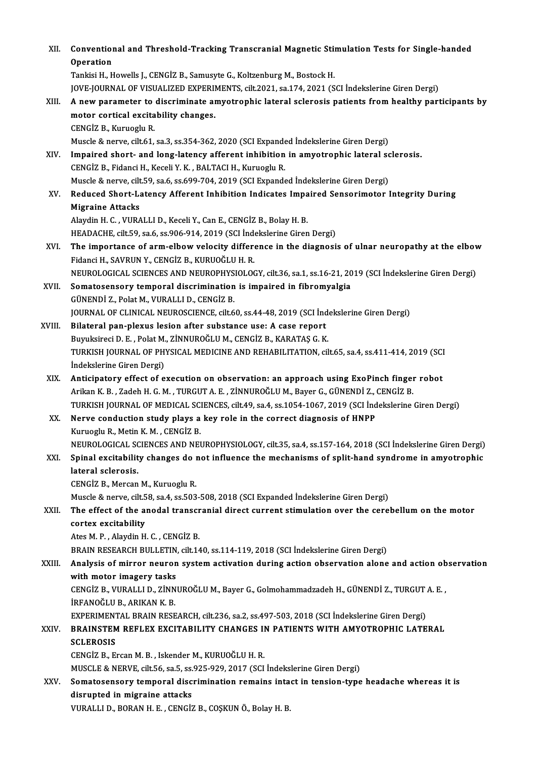| XII.   | Conventional and Threshold-Tracking Transcranial Magnetic Stimulation Tests for Single-handed<br>Operation                                                                                            |
|--------|-------------------------------------------------------------------------------------------------------------------------------------------------------------------------------------------------------|
|        | Tankisi H., Howells J., CENGİZ B., Samusyte G., Koltzenburg M., Bostock H.                                                                                                                            |
| XIII.  | JOVE-JOURNAL OF VISUALIZED EXPERIMENTS, cilt.2021, sa.174, 2021 (SCI İndekslerine Giren Dergi)<br>A new parameter to discriminate amyotrophic lateral sclerosis patients from healthy participants by |
|        | motor cortical excitability changes.                                                                                                                                                                  |
|        | CENGIZ B., Kuruoglu R.                                                                                                                                                                                |
|        | Muscle & nerve, cilt.61, sa.3, ss.354-362, 2020 (SCI Expanded Indekslerine Giren Dergi)                                                                                                               |
| XIV.   | Impaired short- and long-latency afferent inhibition in amyotrophic lateral sclerosis.                                                                                                                |
|        | CENGİZ B., Fidanci H., Keceli Y. K., BALTACI H., Kuruoglu R.                                                                                                                                          |
| XV.    | Muscle & nerve, cilt.59, sa.6, ss.699-704, 2019 (SCI Expanded Indekslerine Giren Dergi)<br>Reduced Short-Latency Afferent Inhibition Indicates Impaired Sensorimotor Integrity During                 |
|        | <b>Migraine Attacks</b>                                                                                                                                                                               |
|        | Alaydin H. C., VURALLI D., Keceli Y., Can E., CENGIZ B., Bolay H. B.                                                                                                                                  |
|        | HEADACHE, cilt 59, sa 6, ss 906-914, 2019 (SCI Indekslerine Giren Dergi)                                                                                                                              |
| XVI.   | The importance of arm-elbow velocity difference in the diagnosis of ulnar neuropathy at the elbow                                                                                                     |
|        | Fidanci H., SAVRUN Y., CENGIZ B., KURUOĞLU H. R.                                                                                                                                                      |
| XVII.  | NEUROLOGICAL SCIENCES AND NEUROPHYSIOLOGY, cilt.36, sa.1, ss.16-21, 2019 (SCI İndekslerine Giren Dergi)<br>Somatosensory temporal discrimination is impaired in fibromyalgia                          |
|        | GÜNENDİ Z., Polat M., VURALLI D., CENGİZ B.                                                                                                                                                           |
|        | JOURNAL OF CLINICAL NEUROSCIENCE, cilt.60, ss.44-48, 2019 (SCI Indekslerine Giren Dergi)                                                                                                              |
| XVIII. | Bilateral pan-plexus lesion after substance use: A case report                                                                                                                                        |
|        | Buyuksireci D. E., Polat M., ZİNNUROĞLU M., CENGİZ B., KARATAŞ G. K.                                                                                                                                  |
|        | TURKISH JOURNAL OF PHYSICAL MEDICINE AND REHABILITATION, cilt.65, sa.4, ss.411-414, 2019 (SCI                                                                                                         |
| XIX.   | İndekslerine Giren Dergi)<br>Anticipatory effect of execution on observation: an approach using ExoPinch finger robot                                                                                 |
|        | Arikan K. B., Zadeh H. G. M., TURGUT A. E., ZİNNUROĞLU M., Bayer G., GÜNENDİ Z., CENGİZ B.                                                                                                            |
|        | TURKISH JOURNAL OF MEDICAL SCIENCES, cilt.49, sa.4, ss.1054-1067, 2019 (SCI İndekslerine Giren Dergi)                                                                                                 |
| XX.    | Nerve conduction study plays a key role in the correct diagnosis of HNPP                                                                                                                              |
|        | Kuruoglu R., Metin K. M., CENGIZ B.                                                                                                                                                                   |
|        | NEUROLOGICAL SCIENCES AND NEUROPHYSIOLOGY, cilt.35, sa.4, ss.157-164, 2018 (SCI İndekslerine Giren Dergi)                                                                                             |
| XXI.   | Spinal excitability changes do not influence the mechanisms of split-hand syndrome in amyotrophic<br>lateral sclerosis.                                                                               |
|        | CENGIZ B., Mercan M., Kuruoglu R.                                                                                                                                                                     |
|        | Muscle & nerve, cilt.58, sa.4, ss.503-508, 2018 (SCI Expanded Indekslerine Giren Dergi)                                                                                                               |
| XXII.  | The effect of the anodal transcranial direct current stimulation over the cerebellum on the motor                                                                                                     |
|        | cortex excitability                                                                                                                                                                                   |
|        | Ates M. P., Alaydin H. C., CENGİZ B.                                                                                                                                                                  |
|        | BRAIN RESEARCH BULLETIN, cilt 140, ss.114-119, 2018 (SCI İndekslerine Giren Dergi)                                                                                                                    |
| XXIII. | Analysis of mirror neuron system activation during action observation alone and action observation<br>with motor imagery tasks                                                                        |
|        | CENGİZ B., VURALLI D., ZİNNUROĞLU M., Bayer G., Golmohammadzadeh H., GÜNENDİ Z., TURGUT A. E.,                                                                                                        |
|        | İRFANOĞLU B., ARIKAN K. B.                                                                                                                                                                            |
|        | EXPERIMENTAL BRAIN RESEARCH, cilt.236, sa.2, ss.497-503, 2018 (SCI İndekslerine Giren Dergi)                                                                                                          |
| XXIV   | BRAINSTEM REFLEX EXCITABILITY CHANGES IN PATIENTS WITH AMYOTROPHIC LATERAL                                                                                                                            |
|        | <b>SCLEROSIS</b>                                                                                                                                                                                      |
|        | CENGIZ B., Ercan M. B., Iskender M., KURUOĞLU H. R.<br>MUSCLE & NERVE, cilt.56, sa.5, ss.925-929, 2017 (SCI İndekslerine Giren Dergi)                                                                 |
| XXV.   | Somatosensory temporal discrimination remains intact in tension-type headache whereas it is                                                                                                           |
|        | disrupted in migraine attacks                                                                                                                                                                         |
|        | VURALLI D., BORAN H. E., CENGİZ B., COŞKUN Ö., Bolay H. B.                                                                                                                                            |
|        |                                                                                                                                                                                                       |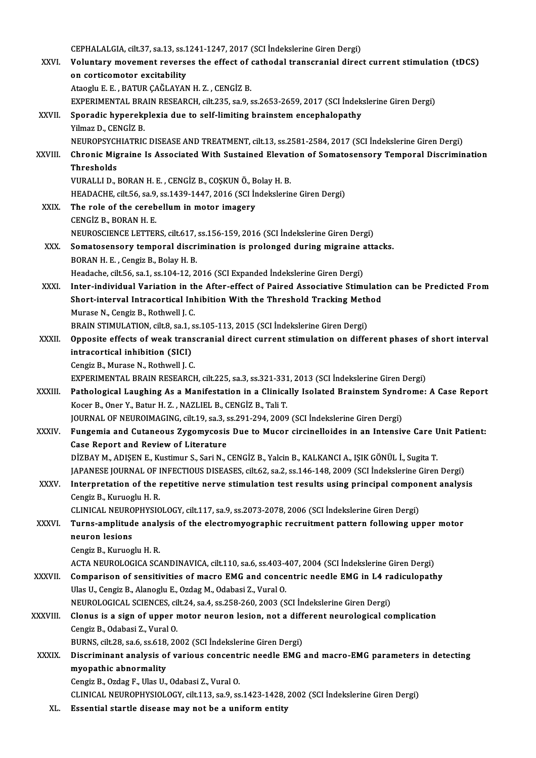CEPHALALGIA, cilt.37, sa.13, ss.1241-1247, 2017 (SCI İndekslerine Giren Dergi)<br>Veluntary movement reverses the effect of sathodal transsranial dines

|               | CEPHALALGIA, cilt.37, sa.13, ss.1241-1247, 2017 (SCI Indekslerine Giren Dergi)                                                                  |
|---------------|-------------------------------------------------------------------------------------------------------------------------------------------------|
| XXVI.         | Voluntary movement reverses the effect of cathodal transcranial direct current stimulation (tDCS)                                               |
|               | on corticomotor excitability                                                                                                                    |
|               | Ataoglu E. E., BATUR ÇAĞLAYAN H. Z., CENGİZ B.                                                                                                  |
|               | EXPERIMENTAL BRAIN RESEARCH, cilt.235, sa.9, ss.2653-2659, 2017 (SCI İndekslerine Giren Dergi)                                                  |
| XXVII.        | Sporadic hyperekplexia due to self-limiting brainstem encephalopathy                                                                            |
|               | Yilmaz D., CENGIZ B.                                                                                                                            |
|               | NEUROPSYCHIATRIC DISEASE AND TREATMENT, cilt.13, ss.2581-2584, 2017 (SCI İndekslerine Giren Dergi)                                              |
| <b>XXVIII</b> | Chronic Migraine Is Associated With Sustained Elevation of Somatosensory Temporal Discrimination                                                |
|               | Thresholds                                                                                                                                      |
|               | VURALLI D., BORAN H. E., CENGİZ B., COŞKUN Ö., Bolay H. B.                                                                                      |
|               | HEADACHE, cilt 56, sa.9, ss.1439-1447, 2016 (SCI Indekslerine Giren Dergi)                                                                      |
| XXIX.         | The role of the cerebellum in motor imagery                                                                                                     |
|               | CENGIZ B, BORAN H E                                                                                                                             |
|               | NEUROSCIENCE LETTERS, cilt.617, ss.156-159, 2016 (SCI Indekslerine Giren Dergi)                                                                 |
| XXX.          | Somatosensory temporal discrimination is prolonged during migraine attacks.                                                                     |
|               | BORAN H. E., Cengiz B., Bolay H. B.                                                                                                             |
|               | Headache, cilt.56, sa.1, ss.104-12, 2016 (SCI Expanded Indekslerine Giren Dergi)                                                                |
| XXXI.         | Inter-individual Variation in the After-effect of Paired Associative Stimulation can be Predicted From                                          |
|               | Short-interval Intracortical Inhibition With the Threshold Tracking Method                                                                      |
|               | Murase N., Cengiz B., Rothwell J. C.                                                                                                            |
|               | BRAIN STIMULATION, cilt.8, sa.1, ss.105-113, 2015 (SCI İndekslerine Giren Dergi)                                                                |
| XXXII.        | Opposite effects of weak transcranial direct current stimulation on different phases of short interval                                          |
|               | intracortical inhibition (SICI)                                                                                                                 |
|               | Cengiz B., Murase N., Rothwell J. C.                                                                                                            |
|               | EXPERIMENTAL BRAIN RESEARCH, cilt.225, sa.3, ss.321-331, 2013 (SCI İndekslerine Giren Dergi)                                                    |
| <b>XXXIII</b> | Pathological Laughing As a Manifestation in a Clinically Isolated Brainstem Syndrome: A Case Report                                             |
|               | Kocer B., Oner Y., Batur H. Z., NAZLIEL B., CENGİZ B., Tali T.                                                                                  |
|               | JOURNAL OF NEUROIMAGING, cilt.19, sa.3, ss.291-294, 2009 (SCI İndekslerine Giren Dergi)                                                         |
| <b>XXXIV</b>  | Fungemia and Cutaneous Zygomycosis Due to Mucor circinelloides in an Intensive Care Unit Patient:                                               |
|               | Case Report and Review of Literature<br>DİZBAY M., ADIŞEN E., Kustimur S., Sari N., CENGİZ B., Yalcin B., KALKANCI A., IŞIK GÖNÜL İ., Sugita T. |
|               | JAPANESE JOURNAL OF INFECTIOUS DISEASES, cilt.62, sa.2, ss.146-148, 2009 (SCI Indekslerine Giren Dergi)                                         |
| XXXV.         | Interpretation of the repetitive nerve stimulation test results using principal component analysis                                              |
|               | Cengiz B., Kuruoglu H. R.                                                                                                                       |
|               | CLINICAL NEUROPHYSIOLOGY, cilt.117, sa.9, ss.2073-2078, 2006 (SCI Indekslerine Giren Dergi)                                                     |
| XXXVI.        | Turns-amplitude analysis of the electromyographic recruitment pattern following upper motor                                                     |
|               | neuron lesions                                                                                                                                  |
|               | Cengiz B., Kuruoglu H. R.                                                                                                                       |
|               | ACTA NEUROLOGICA SCANDINAVICA, cilt.110, sa.6, ss.403-407, 2004 (SCI İndekslerine Giren Dergi)                                                  |
| <b>XXXVII</b> | Comparison of sensitivities of macro EMG and concentric needle EMG in L4 radiculopathy                                                          |
|               | Ulas U., Cengiz B., Alanoglu E., Ozdag M., Odabasi Z., Vural O.                                                                                 |
|               | NEUROLOGICAL SCIENCES, cilt.24, sa.4, ss.258-260, 2003 (SCI İndekslerine Giren Dergi)                                                           |
| XXXVIII.      | Clonus is a sign of upper motor neuron lesion, not a different neurological complication                                                        |
|               | Cengiz B., Odabasi Z., Vural O.                                                                                                                 |
|               | BURNS, cilt.28, sa.6, ss.618, 2002 (SCI İndekslerine Giren Dergi)                                                                               |
| XXXIX.        | Discriminant analysis of various concentric needle EMG and macro-EMG parameters in detecting                                                    |
|               | myopathic abnormality                                                                                                                           |
|               | Cengiz B., Ozdag F., Ulas U., Odabasi Z., Vural O.                                                                                              |
|               | CLINICAL NEUROPHYSIOLOGY, cilt.113, sa.9, ss.1423-1428, 2002 (SCI İndekslerine Giren Dergi)                                                     |
| XL.           | Essential startle disease may not be a uniform entity                                                                                           |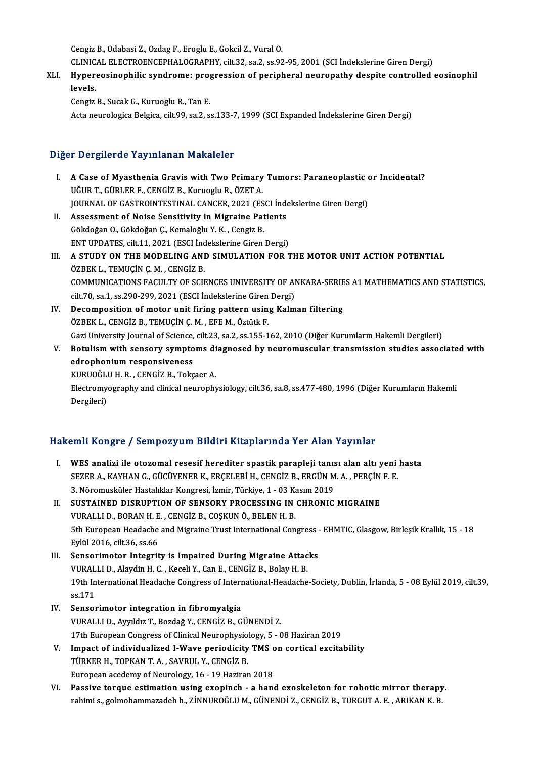CengizB.,OdabasiZ.,Ozdag F.,ErogluE.,GokcilZ.,VuralO.

Cengiz B., Odabasi Z., Ozdag F., Eroglu E., Gokcil Z., Vural O.<br>CLINICAL ELECTROENCEPHALOGRAPHY, cilt.32, sa.2, ss.92-95, 2001 (SCI İndekslerine Giren Dergi)<br>Hunexeseinenbilis sundnama: prestessian of narinbanal nauranathy

Cengiz B., Odabasi Z., Ozdag F., Eroglu E., Gokcil Z., Vural O.<br>CLINICAL ELECTROENCEPHALOGRAPHY, cilt.32, sa.2, ss.92-95, 2001 (SCI İndekslerine Giren Dergi)<br>XLI. Hypereosinophilic syndrome: progression of peripheral n CLINIC.<br>Hyper<br>levels. Hypereosinophilic syndrome: pro<sub>l</sub><br>levels.<br>Cengiz B., Sucak G., Kuruoglu R., Tan E.<br>Acta naurolagica Pelgica, cilt 99, ca 2, s levels.<br>Cengiz B., Sucak G., Kuruoglu R., Tan E.<br>Acta neurologica Belgica, cilt.99, sa.2, ss.133-7, 1999 (SCI Expanded İndekslerine Giren Dergi)

#### Diğer Dergilerde Yayınlanan Makaleler

Iger Dergilerde Yayınlanan Makaleler<br>I. A Case of Myasthenia Gravis with Two Primary Tumors: Paraneoplastic or Incidental?<br>Uğun T. Cüpi ER E. CENCİZ B. Kumaslu B. ÖZET A 1 Dergher de Taymaman Mahdreter<br>A Case of Myasthenia Gravis with Two Primary<br>UĞURT., GÜRLER F., CENGİZ B., Kuruoglu R., ÖZET A. A Case of Myasthenia Gravis with Two Primary Tumors: Paraneoplastic on Uğur T., Gürler F., CENGİZ B., Kuruoglu R., ÖZET A.<br>JOURNAL OF GASTROINTESTINAL CANCER, 2021 (ESCI İndekslerine Giren Dergi)<br>Assessment of Neise Sensit UĞUR T., GÜRLER F., CENGİZ B., Kuruoglu R., ÖZET A.<br>JOURNAL OF GASTROINTESTINAL CANCER, 2021 (ESCI İnde<br>II. Assessment of Noise Sensitivity in Migraine Patients<br>Cöldoğar O. Cöldoğar C. Kamaloğlu Y. K., Congir B. JOURNAL OF GASTROINTESTINAL CANCER, 2021 (ESCI İndekslerine Giren Dergi)<br>Assessment of Noise Sensitivity in Migraine Patients<br>Gökdoğan O., Gökdoğan Ç., Kemaloğlu Y.K. , Cengiz B.<br>ENT UPDATES, cilt.11, 2021 (ESCI İndeksleri Assessment of Noise Sensitivity in Migraine Patients<br>Gökdoğan O., Gökdoğan Ç., Kemaloğlu Y. K. , Cengiz B.<br>ENT UPDATES, cilt.11, 2021 (ESCI İndekslerine Giren Dergi)<br>A STUDY ON THE MODELING AND SIMULATION FOR T Gökdoğan O., Gökdoğan Ç., Kemaloğlu Y. K. , Cengiz B.<br>ENT UPDATES, cilt.11, 2021 (ESCI İndekslerine Giren Dergi)<br>III. – A STUDY ON THE MODELING AND SIMULATION FOR THE MOTOR UNIT ACTION POTENTIAL<br>ÖZPEK L. TEMICÍN C. M., CEN ENT UPDATES, cilt.11, 2021 (ESCI İnd<br>A STUDY ON THE MODELING ANI<br>ÖZBEK L., TEMUÇİN Ç.M. , CENGİZ B.<br>COMMUNICATIONS FACIJI TV OF SCIL A STUDY ON THE MODELING AND SIMULATION FOR THE MOTOR UNIT ACTION POTENTIAL<br>ÖZBEK L., TEMUÇÍN Ç. M. , CENGİZ B.<br>COMMUNICATIONS FACULTY OF SCIENCES UNIVERSITY OF ANKARA-SERIES A1 MATHEMATICS AND STATISTICS,<br>S<sup>il: 70</sup> SP.1, S ÖZBEK L., TEMUÇİN Ç. M. , CENGİZ B.<br>COMMUNICATIONS FACULTY OF SCIENCES UNIVERSITY OF AI<br>cilt.70, sa.1, ss.290-299, 2021 (ESCI İndekslerine Giren Dergi)<br>Desempesition of meter unit firing pattern using Kalm COMMUNICATIONS FACULTY OF SCIENCES UNIVERSITY OF ANKARA-SERIE<br>cilt.70, sa.1, ss.290-299, 2021 (ESCI Indekslerine Giren Dergi)<br>IV. Decomposition of motor unit firing pattern using Kalman filtering<br>ÖZPEK L. CENCIZ P. TEMUCIN cilt.70, sa.1, ss.290-299, 2021 (ESCI İndekslerine Giren<br>Decomposition of motor unit firing pattern using<br>ÖZBEK L., CENGİZ B., TEMUÇİN Ç. M. , EFE M., Öztütk F.<br>Cari University Journal of Scionee, silt 22, sa.2, ss.155, 1

ÖZBEK L., CENGİZ B., TEMUÇİN Ç. M. , EFE M., Öztütk F.<br>Gazi University Journal of Science, cilt.23, sa.2, ss.155-162, 2010 (Diğer Kurumların Hakemli Dergileri) ÖZBEK L., CENGİZ B., TEMUÇİN Ç. M. , EFE M., Öztütk F.<br>Gazi University Journal of Science, cilt.23, sa.2, ss.155-162, 2010 (Diğer Kurumların Hakemli Dergileri)<br>V. Botulism with sensory symptoms diagnosed by neuromuscul Gazi University Journal of Science,<br>Botulism with sensory sympto<br>edrophonium responsiveness<br>KURUOČUUH B. CENCİZ B. Toke Botulism with sensory symptoms diedrophonium responsiveness<br>KURUOĞLU H. R. , CENGİZ B., Tokçaer A.<br>Electromyography and clinical pourophy

edrophonium responsiveness<br>KURUOĞLU H. R. , CENGİZ B., Tokçaer A.<br>Electromyography and clinical neurophysiology, cilt.36, sa.8, ss.477-480, 1996 (Diğer Kurumların Hakemli KURUOĞL<sup>1</sup><br>Electromy<br>Dergileri)

# Dergileri)<br>Hakemli Kongre / Sempozyum Bildiri Kitaplarında Yer Alan Yayınlar

- akemli Kongre / Sempozyum Bildiri Kitaplarında Yer Alan Yayınlar<br>I. WES analizi ile otozomal resesif herediter spastik parapleji tanısı alan altı yeni hasta<br>SEZER A KAYHAN C. GÜÇÜYENER K. ERÇELERİ H. CENÇİZ B. ERÇÜN M.A. P SEZER A., KAYHAN G., GÜCÜYENER K., ERÇELEBİ H., CENGİZ B., ERGÜN M. A. , PERÇİN F. E.<br>SEZER A., KAYHAN G., GÜCÜYENER K., ERÇELEBİ H., CENGİZ B., ERGÜN M. A. , PERÇİN F. E.<br>2. Nöromuskülen Hestalıklar Karsyesi, İsmin. Türki WES analizi ile otozomal resesif herediter spastik parapleji tanıs<br>SEZER A., KAYHAN G., GÜCÜYENER K., ERÇELEBİ H., CENGİZ B., ERGÜN M<br>3. Nöromusküler Hastalıklar Kongresi, İzmir, Türkiye, 1 - 03 Kasım 2019<br>SUSTAINED DISPUP SEZER A., KAYHAN G., GÜCÜYENER K., ERÇELEBİ H., CENGİZ B., ERGÜN M. A. , PERÇİN F. E.<br>3. Nöromusküler Hastalıklar Kongresi, İzmir, Türkiye, 1 - 03 Kasım 2019<br>II. SUSTAINED DISRUPTION OF SENSORY PROCESSING IN CHRONIC MI 3. Nöromusküler Hastalıklar Kongresi, İzmir, Türkiye, 1 - 03 K.<br>SUSTAINED DISRUPTION OF SENSORY PROCESSING IN<br>VURALLI D., BORAN H. E. , CENGİZ B., COŞKUN Ö., BELEN H. B.<br>Eth Euroneen Heedeche and Misreine Trust Internation 5th European Headache and Migraine Trust International Congress - EHMTIC, Glasgow, Birleşik Krallık, 15 - 18<br>Eylül 2016, cilt.36, ss.66 VURALLI D., BORAN H. E<br>5th European Headache<br>Eylül 2016, cilt.36, ss.66<br>Senserimeter Integrit 5th European Headache and Migraine Trust International Congress<br>Eylül 2016, cilt.36, ss.66<br>III. Sensorimotor Integrity is Impaired During Migraine Attacks<br>VIIBALLE Alaydin H.C. Kessli V. Can E. CENCIZ P. Polay H. B Eylül 2016, cilt.36, ss.66<br>Sensorimotor Integrity is Impaired During Migraine Attac<br>VURALLI D., Alaydin H. C. , Keceli Y., Can E., CENGİZ B., Bolay H. B.<br>19th International Heedeche Congress of International Heedeche Sensorimotor Integrity is Impaired During Migraine Attacks<br>VURALLI D., Alaydin H. C. , Keceli Y., Can E., CENGİZ B., Bolay H. B.<br>19th International Headache Congress of International-Headache-Society, Dublin, İrlanda, 5 - VURAL<br>19th In<br>ss.171<br>Senser 19th International Headache Congress of Internalistics.<br>IV. Sensorimotor integration in fibromyalgia<br>VIIBALLED Avruldur T. Bordoğ V. CENCİZ B. C
- ss.171<br>IV. Sensorimotor integration in fibromyalgia<br>VURALLI D., Ayyıldız T., Bozdağ Y., CENGİZ B., GÜNENDİ Z. 17th European Congress of Clinical Neurophysiology, 5 - 08 Haziran 2019
- V. Impact of individualized I-Wave periodicity TMS on cortical excitability 17th European Congress of Clinical Neurophysion<br>Impact of individualized I-Wave periodicity<br>TÜRKER H., TOPKAN T. A. , SAVRUL Y., CENGİZ B. Impact of individualized I-Wave periodicity TMS of<br>TÜRKER H., TOPKAN T. A. , SAVRUL Y., CENGIZ B.<br>European acedemy of Neurology, 16 - 19 Haziran 2018<br>Pessive tensue estimation using eveningh - a band
- TÜRKER H., TOPKAN T. A., SAVRUL Y., CENGİZ B.<br>European acedemy of Neurology, 16 19 Haziran 2018<br>VI. Passive torque estimation using exopinch a hand exoskeleton for robotic mirror therapy.<br>robimis, salmohammazadeb b. Zİ European acedemy of Neurology, 16 - 19 Haziran 2018<br>Passive torque estimation using exopinch - a hand exoskeleton for robotic mirror therapy<br>rahimi s., golmohammazadeh h., ZİNNUROĞLU M., GÜNENDİ Z., CENGİZ B., TURGUT A. E.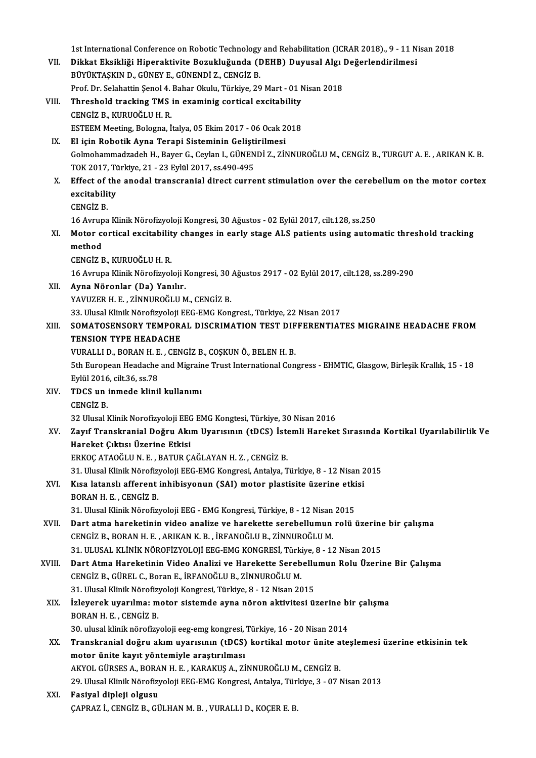1st International Conference on Robotic Technology and Rehabilitation (ICRAR 2018)., 9 - 11 Nisan 2018<br>Dikket Eksikliği Hinoraktivite Begykluğunda (DEHP) Duyusal Algı Değerlendirilmesi

- 1st International Conference on Robotic Technology and Rehabilitation (ICRAR 2018)., 9 11 N<br>VII. Dikkat Eksikliği Hiperaktivite Bozukluğunda (DEHB) Duyusal Algı Değerlendirilmesi<br>PÜVÜKTASKIN D. CÜNEVE, CÜNENDİ Z. CEN 1st International Conference on Robotic Technology<br>Dikkat Eksikliği Hiperaktivite Bozukluğunda (I<br>BÜYÜKTAŞKIN D., GÜNEY E., GÜNENDİ Z., CENGİZ B.<br>Pref. Dr. Selebattin Senal 4. Babar Olulu, Türkiye, 20 VII. Dikkat Eksikliği Hiperaktivite Bozukluğunda (DEHB) Duyusal Algı Değerlendirilmesi<br>BÜYÜKTAŞKIN D., GÜNEY E., GÜNENDİ Z., CENGİZ B.<br>Prof. Dr. Selahattin Şenol 4. Bahar Okulu, Türkiye, 29 Mart - 01 Nisan 2018 BÜYÜKTAŞKIN D., GÜNEY E., GÜNENDİ Z., CENGİZ B.<br>Prof. Dr. Selahattin Şenol 4. Bahar Okulu, Türkiye, 29 Mart - 01 M<br>VIII. Threshold tracking TMS in examinig cortical excitability<br>CENCİZ B. KUBUQĞLU H. B
- CENGİZ B., KURUOĞLU H. R.<br>ESTEEM Meeting, Bologna, İtalya, 05 Ekim 2017 06 Ocak 2018 Threshold tracking TMS in examinig cortical excitability<br>CENGİZ B., KURUOĞLU H. R.<br>ESTEEM Meeting, Bologna, İtalya, 05 Ekim 2017 - 06 Ocak 2018<br>El isin Bobatik Auna Terani Sisteminin Gelistirilmesi
- IX. El için Robotik Ayna Terapi Sisteminin Geliştirilmesi GolmohammadzadehH.,BayerG.,CeylanI.,GÜNENDİZ.,ZİNNUROĞLUM.,CENGİZB.,TURGUTA.E. ,ARIKANK.B. El için Robotik Ayna Terapi Sisteminin Gelişti<br>Golmohammadzadeh H., Bayer G., Ceylan I., GÜNEN<br>TOK 2017, Türkiye, 21 - 23 Eylül 2017, ss.490-495<br>Effect of the anodal transsranial direct surre Golmohammadzadeh H., Bayer G., Ceylan I., GÜNENDİ Z., ZİNNUROĞLU M., CENGİZ B., TURGUT A. E. , ARIKAN K. B.<br>TOK 2017, Türkiye, 21 - 23 Eylül 2017, ss.490-495<br>X. Effect of the anodal transcranial direct current stimulation
- TOK 2017, Ti<br><mark>Effect of the</mark><br>excitability<br>CENC<sup>i7 D</sup> Effect of<br>excitabili<br>CENGİZ B.<br>16 Aununo <mark>excitability</mark><br>CENGİZ B.<br>16 Avrupa Klinik Nörofizyoloji Kongresi, 30 Ağustos - 02 Eylül 2017, cilt.128, ss.250<br>Matar sartisal avaitability shanges in early stage ALS nationts using autam

CENGİZ B.<br>16 Avrupa Klinik Nörofizyoloji Kongresi, 30 Ağustos - 02 Eylül 2017, cilt.128, ss.250<br>XI. Motor cortical excitability changes in early stage ALS patients using automatic threshold tracking<br>mathod 16 Avrup<br>Motor comethod<br>CENCiz E Motor cortical excitabilit<br>method<br>CENGİZ B., KURUOĞLU H. R.<br>16 Ayruno Klinik Nörofirvol method<br>CENGİZ B., KURUOĞLU H. R.<br>16 Avrupa Klinik Nörofizyoloji Kongresi, 30 Ağustos 2917 - 02 Eylül 2017, cilt.128, ss.289-290

- XII. Ayna Nöronlar (Da) Yanılır. YAVUZER H. E., ZİNNUROĞLU M., CENGİZ B. 33. Ulusal Klinik Nörofizyoloji EEG-EMG Kongresi., Türkiye, 22 Nisan 2017
- YAVUZER H. E. , ZİNNUROĞLU M., CENGİZ B.<br>33. Ulusal Klinik Nörofizyoloji EEG-EMG Kongresi., Türkiye, 22 Nisan 2017<br>XIII. SOMATOSENSORY TEMPORAL DISCRIMATION TEST DIFFERENTIATES MIGRAINE HEADACHE FROM<br>TENSION TYPE HEADA 33. Ulusal Klinik Nörofizyoloji I<br>SOMATOSENSORY TEMPOR*i*<br>TENSION TYPE HEADACHE<br>VUBALLI D. BOBAN H. F. CEN SOMATOSENSORY TEMPORAL DISCRIMATION TEST DIF<br>TENSION TYPE HEADACHE<br>VURALLI D., BORAN H. E. , CENGİZ B., COŞKUN Ö., BELEN H. B.<br>Eth European Headache and Migraine Trust International Con TENSION TYPE HEADACHE<br>VURALLI D., BORAN H. E. , CENGİZ B., COŞKUN Ö., BELEN H. B.<br>5th European Headache and Migraine Trust International Congress - EHMTIC, Glasgow, Birleşik Krallık, 15 - 18

VURALLI D., BORAN H. E<br>5th European Headache<br>Eylül 2016, cilt.36, ss.78<br>TDCS un inmade klinil Eylül 2016, cilt 36, ss 78

- XIV. TDCS un inmede klinil kullanımı<br>CENGİZ B. TDCS un inmede klinil kullanımı<br>CENGİZ B.<br>32 Ulusal Klinik Norofizyoloji EEG EMG Kongtesi, Türkiye, 30 Nisan 2016<br>Zawf Transkranial Doğru, Akım Hyarısının (tDCS), İstamli Harakat
- XV. Zayıf Transkranial Doğru AkımUyarısının (tDCS) İstemli Hareket Sırasında Kortikal Uyarılabilirlik Ve 32 Ulusal Klinik Norofizyoloji EEC<br>Zayıf Transkranial Doğru Akı<br>Hareket Çıktısı Üzerine Etkisi<br>EPKOC ATAQĞLUN E. PATUP C

ERKOÇATAOĞLUN.E. ,BATURÇAĞLAYANH.Z. ,CENGİZB.

31. Ulusal Klinik Nörofizyoloji EEG-EMG Kongresi, Antalya, Türkiye, 8 - 12 Nisan 2015

### ERKOÇ ATAOĞLU N. E. , BATUR ÇAĞLAYAN H. Z. , CENGİZ B.<br>31. Ulusal Klinik Nörofizyoloji EEG-EMG Kongresi, Antalya, Türkiye, 8 - 12 Nisan 2<br>XVI. Kısa latanslı afferent inhibisyonun (SAI) motor plastisite üzerine etkisi<br>PORAN 31. Ulusal Klinik Nörofiz<br>Kısa latanslı afferent<br>BORAN H. E. , CENGİZ B.<br>21. Ulusal Klinik Nörofiz Kısa latanslı afferent inhibisyonun (SAI) motor plastisite üzerine etki<br>BORAN H. E. , CENGİZ B.<br>31. Ulusal Klinik Nörofizyoloji EEG - EMG Kongresi, Türkiye, 8 - 12 Nisan 2015<br>Part stwa barakatinin video analize ve barakatt

- BORAN H. E. , CENGİZ B.<br>31. Ulusal Klinik Nörofizyoloji EEG EMG Kongresi, Türkiye, 8 12 Nisan 2015<br>XVII. Dart atma hareketinin video analize ve harekette serebellumun rolü üzerine bir çalışma<br>CENCİZ B. BORAN H. E. 31. Ulusal Klinik Nörofizyoloji EEG - EMG Kongresi, Türkiye, 8 - 12 Nisan 2015<br>Dart atma hareketinin video analize ve harekette serebellumun rolü üzerin<br>CENGİZ B., BORAN H. E. , ARIKAN K. B. , İRFANOĞLU B., ZİNNUROĞLU M.<br>3 Dart atma hareketinin video analize ve harekette serebellumun rolü üzerine<br>CENGİZ B., BORAN H. E. , ARIKAN K. B. , İRFANOĞLU B., ZİNNUROĞLU M.<br>31. ULUSAL KLİNİK NÖROFİZYOLOJİ EEG-EMG KONGRESİ, Türkiye, 8 - 12 Nisan 2015<br>Da
- XVIII. Dart Atma Hareketinin Video Analizi ve Harekette Serebellumun Rolu Üzerine Bir Çalışma CENGİZB.,GÜREL C.,BoranE., İRFANOĞLUB.,ZİNNUROĞLUM. Dart Atma Hareketinin Video Analizi ve Harekette Serebellu<br>CENGİZ B., GÜREL C., Boran E., İRFANOĞLU B., ZİNNUROĞLU M.<br>31. Ulusal Klinik Nörofizyoloji Kongresi, Türkiye, 8 - 12 Nisan 2015<br>İzlavarak uyarılma: matar sistamda CENGİZ B., GÜREL C., Boran E., İRFANOĞLU B., ZİNNUROĞLU M.<br>31. Ulusal Klinik Nörofizyoloji Kongresi, Türkiye, 8 - 12 Nisan 2015<br>XIX. İzleyerek uyarılma: motor sistemde ayna nöron aktivitesi üzerine bir çalışma<br>ROBAN H.
	- 31. Ulusal Klinik Nörofiz<mark>:</mark><br>İzleyerek uyarılma: m<br>BORAN H. E. , CENGİZ B.<br><sup>20. ulusal klinik nörofiz:</sup> İzleyerek uyarılma: motor sistemde ayna nöron aktivitesi üzerine bi<br>BORAN H. E. , CENGİZ B.<br>30. ulusal klinik nörofizyoloji eeg-emg kongresi, Türkiye, 16 - 20 Nisan 2014<br>Transkranial doğuu akım uyarısının (tDCS) kartikal m

- BORAN H. E. , CENGİZ B.<br>30. ulusal klinik nörofizyoloji eeg-emg kongresi, Türkiye, 16 20 Nisan 2014<br>XX. Transkranial doğru akım uyarısının (tDCS) kortikal motor ünite ateşlemesi üzerine etkisinin tek<br>motor ünite keyy 30. ulusal klinik nörofizyoloji eeg-emg kongresi, Türkiye, 16 - 20 Nisan 2014<br>Transkranial doğru akım uyarısının (tDCS) kortikal motor ünite ate<br>motor ünite kayıt yöntemiyle araştırılması<br>AKYOL GÜRSES A., BORAN H. E. , KAR Transkranial doğru akım uyarısının (tDCS) kortikal motor ünite a<br>motor ünite kayıt yöntemiyle araştırılması<br>AKYOL GÜRSES A., BORAN H. E. , KARAKUŞ A., ZİNNUROĞLU M., CENGİZ B.<br>20 Ulucal Kinik Nönofizyoloji EEC EMC Kongresi
	- 29.UlusalKlinikNörofizyolojiEEG-EMGKongresi,Antalya,Türkiye,3 -07Nisan2013
- XXI. Fasiyal dipleji olgusu ÇAPRAZ İ.,CENGİZB.,GÜLHANM.B. ,VURALLID.,KOÇERE.B.